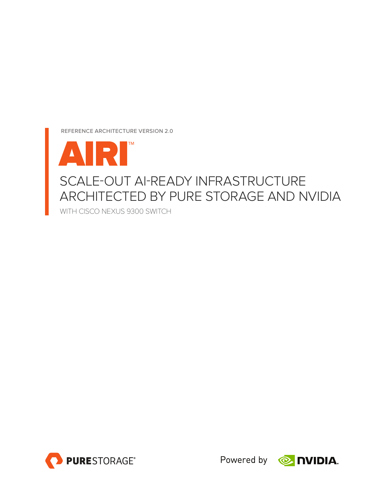REFERENCE ARCHITECTURE VERSION 2.0





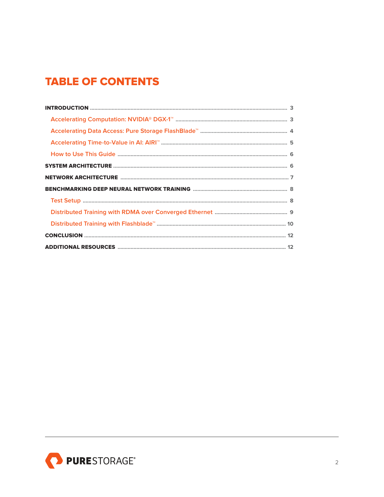# **TABLE OF CONTENTS**

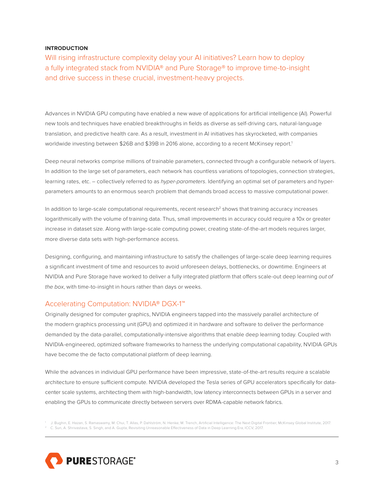## <span id="page-2-0"></span>**INTRODUCTION**

Will rising infrastructure complexity delay your AI initiatives? Learn how to deploy a fully integrated stack from NVIDIA® and Pure Storage® to improve time-to-insight and drive success in these crucial, investment-heavy projects.

Advances in NVIDIA GPU computing have enabled a new wave of applications for artificial intelligence (AI). Powerful new tools and techniques have enabled breakthroughs in fields as diverse as self-driving cars, natural-language translation, and predictive health care. As a result, investment in AI initiatives has skyrocketed, with companies worldwide investing between \$26B and \$39B in 2016 alone, according to a recent McKinsey report.<sup>1</sup>

Deep neural networks comprise millions of trainable parameters, connected through a configurable network of layers. In addition to the large set of parameters, each network has countless variations of topologies, connection strategies, learning rates, etc. – collectively referred to as hyper-parameters. Identifying an optimal set of parameters and hyperparameters amounts to an enormous search problem that demands broad access to massive computational power.

In addition to large-scale computational requirements, recent research<sup>2</sup> shows that training accuracy increases logarithmically with the volume of training data. Thus, small improvements in accuracy could require a 10x or greater increase in dataset size. Along with large-scale computing power, creating state-of-the-art models requires larger, more diverse data sets with high-performance access.

Designing, configuring, and maintaining infrastructure to satisfy the challenges of large-scale deep learning requires a significant investment of time and resources to avoid unforeseen delays, bottlenecks, or downtime. Engineers at NVIDIA and Pure Storage have worked to deliver a fully integrated platform that offers scale-out deep learning out of the box, with time-to-insight in hours rather than days or weeks.

## Accelerating Computation: NVIDIA® DGX-1™

Originally designed for computer graphics, NVIDIA engineers tapped into the massively parallel architecture of the modern graphics processing unit (GPU) and optimized it in hardware and software to deliver the performance demanded by the data-parallel, computationally-intensive algorithms that enable deep learning today. Coupled with NVIDIA-engineered, optimized software frameworks to harness the underlying computational capability, NVIDIA GPUs have become the de facto computational platform of deep learning.

While the advances in individual GPU performance have been impressive, state-of-the-art results require a scalable architecture to ensure sufficient compute. NVIDIA developed the Tesla series of GPU accelerators specifically for datacenter scale systems, architecting them with high-bandwidth, low latency interconnects between GPUs in a server and enabling the GPUs to communicate directly between servers over RDMA-capable network fabrics.

<sup>1</sup> J. Bughin, E. Hazan, S. Ramaswamy, M. Chui, T. Allas, P. Dahlström, N. Henke, M. Trench, Artificial Intelligence: The Next Digital Frontier, McKinsey Global Institute, 2017.  $^2$  C. Sun, A. Shrivastava, S. Singh, and A. Gupta, Revisiting Unreasonable Effectiveness of Data in Deep Learning Era, ICCV, 2017.

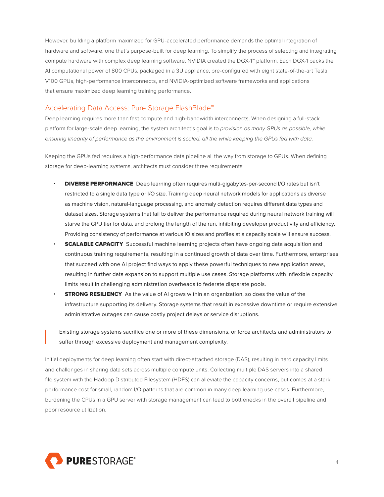<span id="page-3-0"></span>However, building a platform maximized for GPU-accelerated performance demands the optimal integration of hardware and software, one that's purpose-built for deep learning. To simplify the process of selecting and integrating compute hardware with complex deep learning software, NVIDIA created the DGX-1™ platform. Each DGX-1 packs the AI computational power of 800 CPUs, packaged in a 3U appliance, pre-configured with eight state-of-the-art Tesla V100 GPUs, high-performance interconnects, and NVIDIA-optimized software frameworks and applications that ensure maximized deep learning training performance.

## Accelerating Data Access: Pure Storage FlashBlade™

Deep learning requires more than fast compute and high-bandwidth interconnects. When designing a full-stack platform for large-scale deep learning, the system architect's goal is to provision as many GPUs as possible, while ensuring linearity of performance as the environment is scaled, all the while keeping the GPUs fed with data.

Keeping the GPUs fed requires a high-performance data pipeline all the way from storage to GPUs. When defining storage for deep-learning systems, architects must consider three requirements:

- DIVERSE PERFORMANCE Deep learning often requires multi-gigabytes-per-second I/O rates but isn't restricted to a single data type or I/O size. Training deep neural network models for applications as diverse as machine vision, natural-language processing, and anomaly detection requires different data types and dataset sizes. Storage systems that fail to deliver the performance required during neural network training will starve the GPU tier for data, and prolong the length of the run, inhibiting developer productivity and efficiency. Providing consistency of performance at various IO sizes and profiles at a capacity scale will ensure success.
- **SCALABLE CAPACITY** Successful machine learning projects often have ongoing data acquisition and continuous training requirements, resulting in a continued growth of data over time. Furthermore, enterprises that succeed with one AI project find ways to apply these powerful techniques to new application areas, resulting in further data expansion to support multiple use cases. Storage platforms with inflexible capacity limits result in challenging administration overheads to federate disparate pools.
- **STRONG RESILIENCY** As the value of AI grows within an organization, so does the value of the infrastructure supporting its delivery. Storage systems that result in excessive downtime or require extensive administrative outages can cause costly project delays or service disruptions.

Existing storage systems sacrifice one or more of these dimensions, or force architects and administrators to suffer through excessive deployment and management complexity.

Initial deployments for deep learning often start with direct-attached storage (DAS), resulting in hard capacity limits and challenges in sharing data sets across multiple compute units. Collecting multiple DAS servers into a shared file system with the Hadoop Distributed Filesystem (HDFS) can alleviate the capacity concerns, but comes at a stark performance cost for small, random I/O patterns that are common in many deep learning use cases. Furthermore, burdening the CPUs in a GPU server with storage management can lead to bottlenecks in the overall pipeline and poor resource utilization.

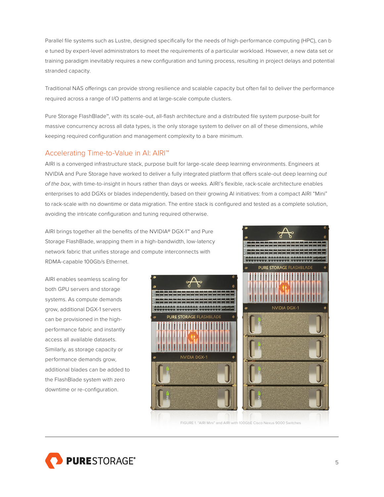<span id="page-4-0"></span>Parallel file systems such as Lustre, designed specifically for the needs of high-performance computing (HPC), can b e tuned by expert-level administrators to meet the requirements of a particular workload. However, a new data set or training paradigm inevitably requires a new configuration and tuning process, resulting in project delays and potential stranded capacity.

Traditional NAS offerings can provide strong resilience and scalable capacity but often fail to deliver the performance required across a range of I/O patterns and at large-scale compute clusters.

Pure Storage FlashBlade™, with its scale-out, all-flash architecture and a distributed file system purpose-built for massive concurrency across all data types, is the only storage system to deliver on all of these dimensions, while keeping required configuration and management complexity to a bare minimum.

# Accelerating Time-to-Value in AI: AIRI™

AIRI is a converged infrastructure stack, purpose built for large-scale deep learning environments. Engineers at NVIDIA and Pure Storage have worked to deliver a fully integrated platform that offers scale-out deep learning out of the box, with time-to-insight in hours rather than days or weeks. AIRI's flexible, rack-scale architecture enables enterprises to add DGXs or blades independently, based on their growing AI initiatives: from a compact AIRI "Mini" to rack-scale with no downtime or data migration. The entire stack is configured and tested as a complete solution, avoiding the intricate configuration and tuning required otherwise.

AIRI brings together all the benefits of the NVIDIA® DGX-1™ and Pure Storage FlashBlade, wrapping them in a high-bandwidth, low-latency network fabric that unifies storage and compute interconnects with RDMA-capable 100Gb/s Ethernet.

AIRI enables seamless scaling for both GPU servers and storage systems. As compute demands grow, additional DGX-1 servers can be provisioned in the highperformance fabric and instantly access all available datasets. Similarly, as storage capacity or performance demands grow, additional blades can be added to the FlashBlade system with zero downtime or re-configuration.







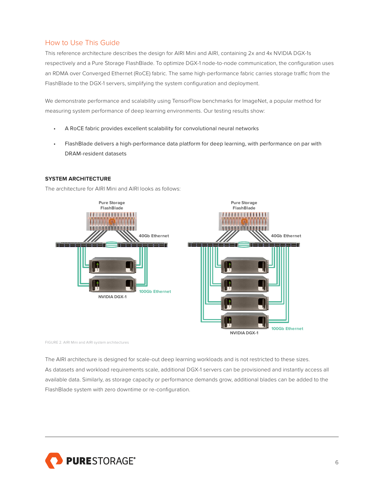# <span id="page-5-0"></span>How to Use This Guide

This reference architecture describes the design for AIRI Mini and AIRI, containing 2x and 4x NVIDIA DGX-1s respectively and a Pure Storage FlashBlade. To optimize DGX-1 node-to-node communication, the configuration uses an RDMA over Converged Ethernet (RoCE) fabric. The same high-performance fabric carries storage traffic from the FlashBlade to the DGX-1 servers, simplifying the system configuration and deployment.

We demonstrate performance and scalability using TensorFlow benchmarks for ImageNet, a popular method for measuring system performance of deep learning environments. Our testing results show:

- A RoCE fabric provides excellent scalability for convolutional neural networks
- FlashBlade delivers a high-performance data platform for deep learning, with performance on par with DRAM-resident datasets

## **SYSTEM ARCHITECTURE**

The architecture for AIRI Mini and AIRI looks as follows:



FIGURE 2. AIRI Mini and AIRI system architectures

The AIRI architecture is designed for scale-out deep learning workloads and is not restricted to these sizes. As datasets and workload requirements scale, additional DGX-1 servers can be provisioned and instantly access all available data. Similarly, as storage capacity or performance demands grow, additional blades can be added to the FlashBlade system with zero downtime or re-configuration.

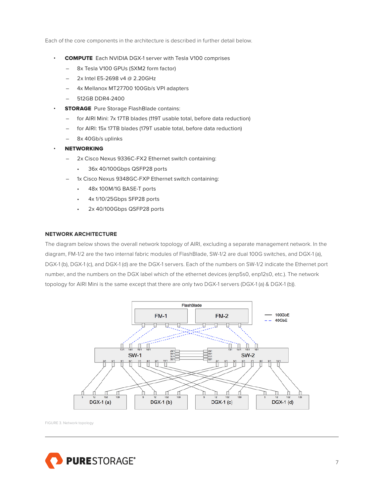<span id="page-6-0"></span>Each of the core components in the architecture is described in further detail below.

- COMPUTE Each NVIDIA DGX-1 server with Tesla V100 comprises
	- 8x Tesla V100 GPUs (SXM2 form factor)
	- 2x Intel E5-2698 v4 @ 2.20GHz
	- 4x Mellanox MT27700 100Gb/s VPI adapters
	- 512GB DDR4-2400
- **STORAGE** Pure Storage FlashBlade contains:
	- for AIRI Mini: 7x 17TB blades (119T usable total, before data reduction)
	- for AIRI: 15x 17TB blades (179T usable total, before data reduction)
	- 8x 40Gb/s uplinks
- **NETWORKING** 
	- 2x Cisco Nexus 9336C-FX2 Ethernet switch containing:
		- 36x 40/100Gbps QSFP28 ports
	- 1x Cisco Nexus 9348GC-FXP Ethernet switch containing:
		- 48x 100M/1G BASE-T ports
		- 4x 1/10/25Gbps SFP28 ports
		- 2x 40/100Gbps QSFP28 ports

#### **NETWORK ARCHITECTURE**

The diagram below shows the overall network topology of AIRI, excluding a separate management network. In the diagram, FM-1/2 are the two internal fabric modules of FlashBlade, SW-1/2 are dual 100G switches, and DGX-1 (a), DGX-1 (b), DGX-1 (c), and DGX-1 (d) are the DGX-1 servers. Each of the numbers on SW-1/2 indicate the Ethernet port number, and the numbers on the DGX label which of the ethernet devices (enp5s0, enp12s0, etc.). The network topology for AIRI Mini is the same except that there are only two DGX-1 servers (DGX-1 (a) & DGX-1 (b)).



FIGURE 3. Network topology

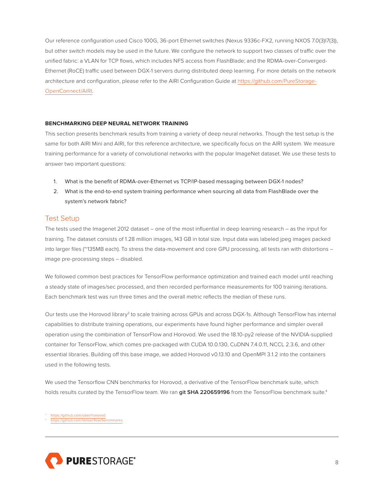<span id="page-7-0"></span>Our reference configuration used Cisco 100G, 36-port Ethernet switches (Nexus 9336c-FX2, running NXOS 7.0(3)I7(3)), but other switch models may be used in the future. We configure the network to support two classes of traffic over the unified fabric: a VLAN for TCP flows, which includes NFS access from FlashBlade; and the RDMA-over-Converged-Ethernet (RoCE) traffic used between DGX-1 servers during distributed deep learning. For more details on the network architecture and configuration, please refer to the AIRI Configuration Guide at [https://github.com/PureStorage-](https://github.com/PureStorage-OpenConnect/AIRI)[OpenConnect/AIRI](https://github.com/PureStorage-OpenConnect/AIRI).

#### **BENCHMARKING DEEP NEURAL NETWORK TRAINING**

This section presents benchmark results from training a variety of deep neural networks. Though the test setup is the same for both AIRI Mini and AIRI, for this reference architecture, we specifically focus on the AIRI system. We measure training performance for a variety of convolutional networks with the popular ImageNet dataset. We use these tests to answer two important questions:

- 1. What is the benefit of RDMA-over-Ethernet vs TCP/IP-based messaging between DGX-1 nodes?
- 2. What is the end-to-end system training performance when sourcing all data from FlashBlade over the system's network fabric?

#### Test Setup

The tests used the Imagenet 2012 dataset – one of the most influential in deep learning research – as the input for training. The dataset consists of 1.28 million images, 143 GB in total size. Input data was labeled jpeg images packed into larger files (~135MB each). To stress the data-movement and core GPU processing, all tests ran with distortions image pre-processing steps – disabled.

We followed common best practices for TensorFlow performance optimization and trained each model until reaching a steady state of images/sec processed, and then recorded performance measurements for 100 training iterations. Each benchmark test was run three times and the overall metric reflects the median of these runs.

Our tests use the Horovod library<sup>3</sup> to scale training across GPUs and across DGX-1s. Although TensorFlow has internal capabilities to distribute training operations, our experiments have found higher performance and simpler overall operation using the combination of TensorFlow and Horovod. We used the 18.10-py2 release of the NVIDIA-supplied container for TensorFlow, which comes pre-packaged with CUDA 10.0.130, CuDNN 7.4.0.11, NCCL 2.3.6, and other essential libraries. Building off this base image, we added Horovod v0.13.10 and OpenMPI 3.1.2 into the containers used in the following tests.

We used the Tensorflow CNN benchmarks for Horovod, a derivative of the TensorFlow benchmark suite, which holds results curated by the TensorFlow team. We ran **git SHA 220659196** from the TensorFlow benchmark suite.4

<https://github.com/uber/horovod> //github.com/tensorflow/benchmarks

PURESTORAGE®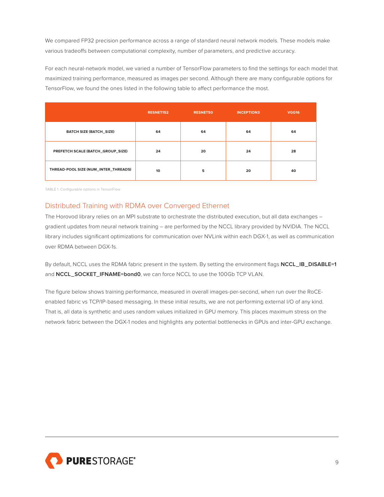<span id="page-8-0"></span>We compared FP32 precision performance across a range of standard neural network models. These models make various tradeoffs between computational complexity, number of parameters, and predictive accuracy.

For each neural-network model, we varied a number of TensorFlow parameters to find the settings for each model that maximized training performance, measured as images per second. Although there are many configurable options for TensorFlow, we found the ones listed in the following table to affect performance the most.

|                                      | <b>RESNET152</b> | <b>RESNET50</b> | <b>INCEPTION3</b> | <b>VGG16</b> |
|--------------------------------------|------------------|-----------------|-------------------|--------------|
| <b>BATCH SIZE (BATCH_SIZE)</b>       | 64               | 64              | 64                | 64           |
| PREFETCH SCALE (BATCH_GROUP_SIZE)    | 24               | 20              | 24                | 28           |
| THREAD-POOL SIZE (NUM_INTER_THREADS) | 10               | 5               | 20                | 40           |

TABLE 1. Configurable options in TensorFlow

# Distributed Training with RDMA over Converged Ethernet

The Horovod library relies on an MPI substrate to orchestrate the distributed execution, but all data exchanges gradient updates from neural network training – are performed by the NCCL library provided by NVIDIA. The NCCL library includes significant optimizations for communication over NVLink within each DGX-1, as well as communication over RDMA between DGX-1s.

By default, NCCL uses the RDMA fabric present in the system. By setting the environment flags **NCCL\_IB\_DISABLE=1** and **NCCL\_SOCKET\_IFNAME=bond0**, we can force NCCL to use the 100Gb TCP VLAN.

The figure below shows training performance, measured in overall images-per-second, when run over the RoCEenabled fabric vs TCP/IP-based messaging. In these initial results, we are not performing external I/O of any kind. That is, all data is synthetic and uses random values initialized in GPU memory. This places maximum stress on the network fabric between the DGX-1 nodes and highlights any potential bottlenecks in GPUs and inter-GPU exchange.

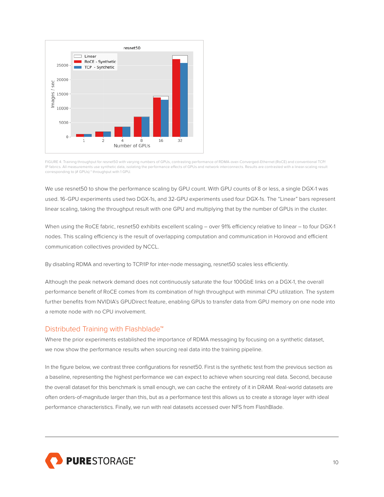<span id="page-9-0"></span>

FIGURE 4. Training throughput for resnet50 with varying numbers of GPUs, contrasting performance of RDMA-over-Converged-Ethernet (RoCE) and conventional TCP/ IP fabrics. All measurements use synthetic data, isolating the performance effects of GPUs and network interconnects. Results are contrasted with a linear-scaling result corresponding to (# GPUs) \* throughput with 1 GPU.

We use resnet50 to show the performance scaling by GPU count. With GPU counts of 8 or less, a single DGX-1 was used. 16-GPU experiments used two DGX-1s, and 32-GPU experiments used four DGX-1s. The "Linear" bars represent linear scaling, taking the throughput result with one GPU and multiplying that by the number of GPUs in the cluster.

When using the RoCE fabric, resnet50 exhibits excellent scaling – over 91% efficiency relative to linear – to four DGX-1 nodes. This scaling efficiency is the result of overlapping computation and communication in Horovod and efficient communication collectives provided by NCCL.

By disabling RDMA and reverting to TCP/IP for inter-node messaging, resnet50 scales less efficiently.

Although the peak network demand does not continuously saturate the four 100GbE links on a DGX-1, the overall performance benefit of RoCE comes from its combination of high throughput with minimal CPU utilization. The system further benefits from NVIDIA's GPUDirect feature, enabling GPUs to transfer data from GPU memory on one node into a remote node with no CPU involvement.

## Distributed Training with Flashblade™

Where the prior experiments established the importance of RDMA messaging by focusing on a synthetic dataset, we now show the performance results when sourcing real data into the training pipeline.

In the figure below, we contrast three configurations for resnet50. First is the synthetic test from the previous section as a baseline, representing the highest performance we can expect to achieve when sourcing real data. Second, because the overall dataset for this benchmark is small enough, we can cache the entirety of it in DRAM. Real-world datasets are often orders-of-magnitude larger than this, but as a performance test this allows us to create a storage layer with ideal performance characteristics. Finally, we run with real datasets accessed over NFS from FlashBlade.

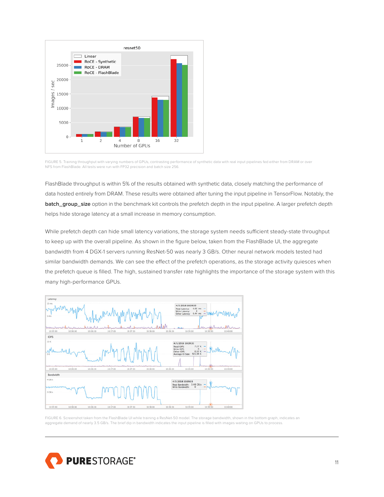

FIGURE 5. Training throughput with varying numbers of GPUs, contrasting performance of synthetic data with real input pipelines fed either from DRAM or over NFS from FlashBlade. All tests were run with FP32 precision and batch size 256.

FlashBlade throughput is within 5% of the results obtained with synthetic data, closely matching the performance of data hosted entirely from DRAM. These results were obtained after tuning the input pipeline in TensorFlow. Notably, the **batch\_group\_size** option in the benchmark kit controls the prefetch depth in the input pipeline. A larger prefetch depth helps hide storage latency at a small increase in memory consumption.

While prefetch depth can hide small latency variations, the storage system needs sufficient steady-state throughput to keep up with the overall pipeline. As shown in the figure below, taken from the FlashBlade UI, the aggregate bandwidth from 4 DGX-1 servers running ResNet-50 was nearly 3 GB/s. Other neural network models tested had similar bandwidth demands. We can see the effect of the prefetch operations, as the storage activity quiesces when the prefetch queue is filled. The high, sustained transfer rate highlights the importance of the storage system with this many high-performance GPUs.



FIGURE 6. Screenshot taken from the FlashBlade UI while training a ResNet-50 model. The storage bandwidth, shown in the bottom graph, indicates an<br>aggregate demand of nearly 3.5 GB/s. The brief dip in bandwidth indicates t